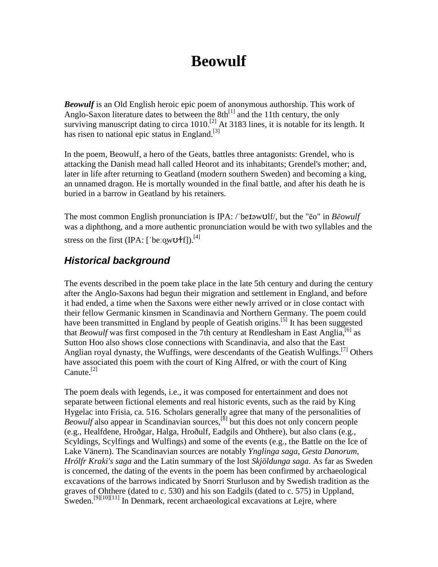# **Beowulf**

*Beowulf* is an Old English heroic epic poem of anonymous authorship. This work of Anglo-Saxon literature dates to between the  $8th^{11}$  and the 11th century, the only surviving manuscript dating to circa 1010.<sup>[2]</sup> At 3183 lines, it is notable for its length. It has risen to national epic status in England.<sup>[3]</sup>

In the poem, Beowulf, a hero of the Geats, battles three antagonists: Grendel, who is attacking the Danish mead hall called Heorot and its inhabitants; Grendel's mother; and, later in life after returning to Geatland (modern southern Sweden) and becoming a king, an unnamed dragon. He is mortally wounded in the final battle, and after his death he is buried in a barrow in Geatland by his retainers.

The most common English pronunciation is IPA: /'beIəwUlf/, but the "ēo" in *Bēowulf* was a diphthong, and a more authentic pronunciation would be with two syllables and the stress on the first (IPA:  $\lceil \cdot \text{be} \cdot \text{owU} + \text{f} \rceil \rceil$ ).<sup>[4]</sup>

### **Historical background**

The events described in the poem take place in the late 5th century and during the century after the Anglo-Saxons had begun their migration and settlement in England, and before it had ended, a time when the Saxons were either newly arrived or in close contact with their fellow Germanic kinsmen in Scandinavia and Northern Germany. The poem could have been transmitted in England by people of Geatish origins.<sup>[5]</sup> It has been suggested that *Beowulf* was first composed in the 7th century at Rendlesham in East Anglia,<sup>[6]</sup> as Sutton Hoo also shows close connections with Scandinavia, and also that the East Anglian royal dynasty, the Wuffings, were descendants of the Geatish Wulfings.<sup>[7]</sup> Others have associated this poem with the court of King Alfred, or with the court of King  $Canute<sup>[2]</sup>$ 

The poem deals with legends, i.e., it was composed for entertainment and does not separate between fictional elements and real historic events, such as the raid by King Hygelac into Frisia, ca. 516. Scholars generally agree that many of the personalities of *Beowulf* also appear in Scandinavian sources,<sup>[8]</sup> but this does not only concern people (e.g., Healfdene, Hroðgar, Halga, Hroðulf, Eadgils and Ohthere), but also clans (e.g., Scyldings, Scylfings and Wulfings) and some of the events (e.g., the Battle on the Ice of Lake Vänern). The Scandinavian sources are notably *Ynglinga saga*, *Gesta Danorum*, *Hrólfr Kraki's saga* and the Latin summary of the lost *Skjöldunga saga*. As far as Sweden is concerned, the dating of the events in the poem has been confirmed by archaeological excavations of the barrows indicated by Snorri Sturluson and by Swedish tradition as the graves of Ohthere (dated to c. 530) and his son Eadgils (dated to c. 575) in Uppland, Sweden.<sup>[9][10][11]</sup> In Denmark, recent archaeological excavations at Leire, where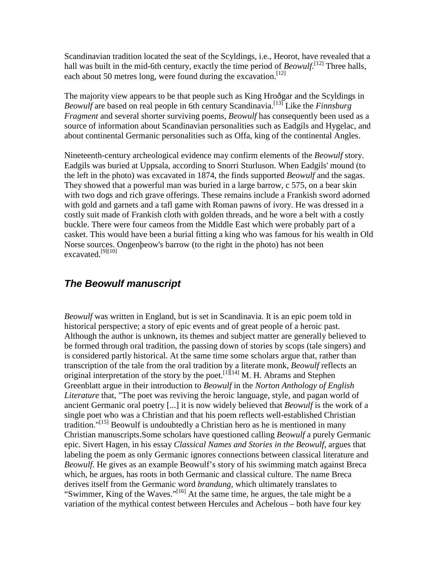Scandinavian tradition located the seat of the Scyldings, i.e., Heorot, have revealed that a hall was built in the mid-6th century, exactly the time period of *Beowulf*.<sup>[12]</sup> Three halls, each about 50 metres long, were found during the excavation.<sup>[12]</sup>

The majority view appears to be that people such as King Hroðgar and the Scyldings in *Beowulf* are based on real people in 6th century Scandinavia. [13] Like the *Finnsburg Fragment* and several shorter surviving poems, *Beowulf* has consequently been used as a source of information about Scandinavian personalities such as Eadgils and Hygelac, and about continental Germanic personalities such as Offa, king of the continental Angles.

Nineteenth-century archeological evidence may confirm elements of the *Beowulf* story. Eadgils was buried at Uppsala, according to Snorri Sturluson. When Eadgils' mound (to the left in the photo) was excavated in 1874, the finds supported *Beowulf* and the sagas. They showed that a powerful man was buried in a large barrow, c 575, on a bear skin with two dogs and rich grave offerings. These remains include a Frankish sword adorned with gold and garnets and a tafl game with Roman pawns of ivory. He was dressed in a costly suit made of Frankish cloth with golden threads, and he wore a belt with a costly buckle. There were four cameos from the Middle East which were probably part of a casket. This would have been a burial fitting a king who was famous for his wealth in Old Norse sources. Ongenþeow's barrow (to the right in the photo) has not been excavated.<sup>[9][10]</sup>

### **The Beowulf manuscript**

*Beowulf* was written in England, but is set in Scandinavia. It is an epic poem told in historical perspective; a story of epic events and of great people of a heroic past. Although the author is unknown, its themes and subject matter are generally believed to be formed through oral tradition, the passing down of stories by scops (tale singers) and is considered partly historical. At the same time some scholars argue that, rather than transcription of the tale from the oral tradition by a literate monk, *Beowulf* reflects an original interpretation of the story by the poet.<sup>[1][14]</sup> M. H. Abrams and Stephen Greenblatt argue in their introduction to *Beowulf* in the *Norton Anthology of English Literature* that, "The poet was reviving the heroic language, style, and pagan world of ancient Germanic oral poetry [...] it is now widely believed that *Beowulf* is the work of a single poet who was a Christian and that his poem reflects well-established Christian tradition."<sup>[15]</sup> Beowulf is undoubtedly a Christian hero as he is mentioned in many Christian manuscripts.Some scholars have questioned calling *Beowulf* a purely Germanic epic. Sivert Hagen, in his essay *Classical Names and Stories in the Beowulf*, argues that labeling the poem as only Germanic ignores connections between classical literature and *Beowulf*. He gives as an example Beowulf's story of his swimming match against Breca which, he argues, has roots in both Germanic and classical culture. The name Breca derives itself from the Germanic word *brandung*, which ultimately translates to "Swimmer, King of the Waves."[16] At the same time, he argues, the tale might be a variation of the mythical contest between Hercules and Achelous – both have four key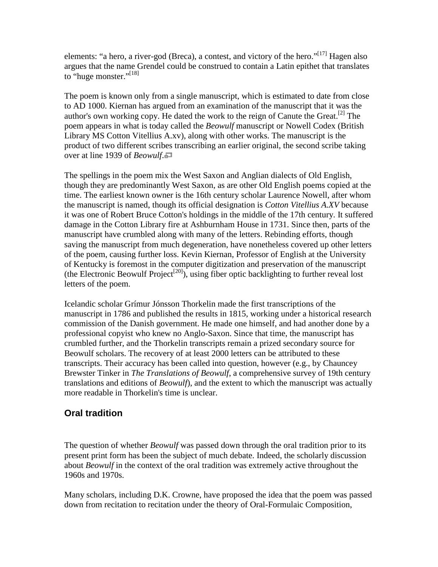elements: "a hero, a river-god (Breca), a contest, and victory of the hero."<sup>[17]</sup> Hagen also argues that the name Grendel could be construed to contain a Latin epithet that translates to "huge monster."<sup>[18]</sup>

The poem is known only from a single manuscript, which is estimated to date from close to AD 1000. Kiernan has argued from an examination of the manuscript that it was the author's own working copy. He dated the work to the reign of Canute the Great.<sup>[2]</sup> The poem appears in what is today called the *Beowulf* manuscript or Nowell Codex (British Library MS Cotton Vitellius A.xv), along with other works. The manuscript is the product of two different scribes transcribing an earlier original, the second scribe taking over at line 1939 of *Beowulf*.

The spellings in the poem mix the West Saxon and Anglian dialects of Old English, though they are predominantly West Saxon, as are other Old English poems copied at the time. The earliest known owner is the 16th century scholar Laurence Nowell, after whom the manuscript is named, though its official designation is *Cotton Vitellius A.XV* because it was one of Robert Bruce Cotton's holdings in the middle of the 17th century. It suffered damage in the Cotton Library fire at Ashburnham House in 1731. Since then, parts of the manuscript have crumbled along with many of the letters. Rebinding efforts, though saving the manuscript from much degeneration, have nonetheless covered up other letters of the poem, causing further loss. Kevin Kiernan, Professor of English at the University of Kentucky is foremost in the computer digitization and preservation of the manuscript (the Electronic Beowulf Project<sup>[20]</sup>), using fiber optic backlighting to further reveal lost letters of the poem.

Icelandic scholar Grímur Jónsson Thorkelin made the first transcriptions of the manuscript in 1786 and published the results in 1815, working under a historical research commission of the Danish government. He made one himself, and had another done by a professional copyist who knew no Anglo-Saxon. Since that time, the manuscript has crumbled further, and the Thorkelin transcripts remain a prized secondary source for Beowulf scholars. The recovery of at least 2000 letters can be attributed to these transcripts. Their accuracy has been called into question, however (e.g., by Chauncey Brewster Tinker in *The Translations of Beowulf*, a comprehensive survey of 19th century translations and editions of *Beowulf*), and the extent to which the manuscript was actually more readable in Thorkelin's time is unclear.

### **Oral tradition**

The question of whether *Beowulf* was passed down through the oral tradition prior to its present print form has been the subject of much debate. Indeed, the scholarly discussion about *Beowulf* in the context of the oral tradition was extremely active throughout the 1960s and 1970s.

Many scholars, including D.K. Crowne, have proposed the idea that the poem was passed down from recitation to recitation under the theory of Oral-Formulaic Composition,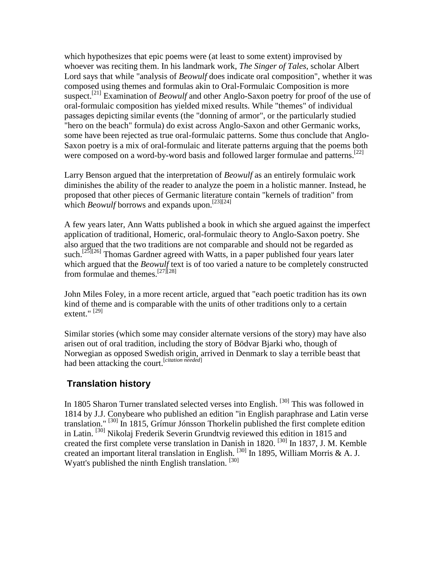which hypothesizes that epic poems were (at least to some extent) improvised by whoever was reciting them. In his landmark work, *The Singer of Tales*, scholar Albert Lord says that while "analysis of *Beowulf* does indicate oral composition", whether it was composed using themes and formulas akin to Oral-Formulaic Composition is more suspect.[21] Examination of *Beowulf* and other Anglo-Saxon poetry for proof of the use of oral-formulaic composition has yielded mixed results. While "themes" of individual passages depicting similar events (the "donning of armor", or the particularly studied "hero on the beach" formula) do exist across Anglo-Saxon and other Germanic works, some have been rejected as true oral-formulaic patterns. Some thus conclude that Anglo-Saxon poetry is a mix of oral-formulaic and literate patterns arguing that the poems both were composed on a word-by-word basis and followed larger formulae and patterns.<sup>[22]</sup>

Larry Benson argued that the interpretation of *Beowulf* as an entirely formulaic work diminishes the ability of the reader to analyze the poem in a holistic manner. Instead, he proposed that other pieces of Germanic literature contain "kernels of tradition" from which *Beowulf* borrows and expands upon.<sup>[23][24]</sup>

A few years later, Ann Watts published a book in which she argued against the imperfect application of traditional, Homeric, oral-formulaic theory to Anglo-Saxon poetry. She also argued that the two traditions are not comparable and should not be regarded as such.<sup>[25][26]</sup> Thomas Gardner agreed with Watts, in a paper published four years later which argued that the *Beowulf* text is of too varied a nature to be completely constructed from formulae and themes.<sup>[27][28]</sup>

John Miles Foley, in a more recent article, argued that "each poetic tradition has its own kind of theme and is comparable with the units of other traditions only to a certain extent."<sup>[29]</sup>

Similar stories (which some may consider alternate versions of the story) may have also arisen out of oral tradition, including the story of Bödvar Bjarki who, though of Norwegian as opposed Swedish origin, arrived in Denmark to slay a terrible beast that had been attacking the court.[*citation needed*]

### **Translation history**

In 1805 Sharon Turner translated selected verses into English. <sup>[30]</sup> This was followed in 1814 by J.J. Conybeare who published an edition "in English paraphrase and Latin verse translation." [30] In 1815, Grímur Jónsson Thorkelin published the first complete edition in Latin. [30] Nikolaj Frederik Severin Grundtvig reviewed this edition in 1815 and created the first complete verse translation in Danish in 1820. [30] In 1837, J. M. Kemble created an important literal translation in English.  $^{[30]}$  In 1895, William Morris & A. J. Wyatt's published the ninth English translation. [30]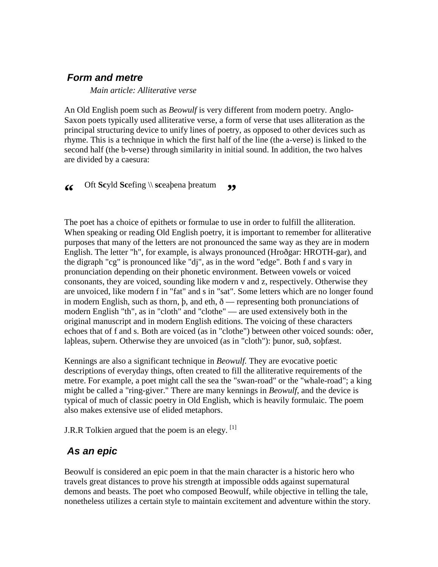### **Form and metre**

*Main article: Alliterative verse*

An Old English poem such as *Beowulf* is very different from modern poetry. Anglo-Saxon poets typically used alliterative verse, a form of verse that uses alliteration as the principal structuring device to unify lines of poetry, as opposed to other devices such as rhyme. This is a technique in which the first half of the line (the a-verse) is linked to the second half (the b-verse) through similarity in initial sound. In addition, the two halves are divided by a caesura:

#### **"** Oft **Sc**yld **Sc**efing \\ **sc**eaþena þreatum **"**

The poet has a choice of epithets or formulae to use in order to fulfill the alliteration. When speaking or reading Old English poetry, it is important to remember for alliterative purposes that many of the letters are not pronounced the same way as they are in modern English. The letter "h", for example, is always pronounced (Hroðgar: HROTH-gar), and the digraph "cg" is pronounced like "dj", as in the word "edge". Both f and s vary in pronunciation depending on their phonetic environment. Between vowels or voiced consonants, they are voiced, sounding like modern v and z, respectively. Otherwise they are unvoiced, like modern f in "fat" and s in "sat". Some letters which are no longer found in modern English, such as thorn,  $\beta$ , and eth,  $\delta$  — representing both pronunciations of modern English "th", as in "cloth" and "clothe" — are used extensively both in the original manuscript and in modern English editions. The voicing of these characters echoes that of f and s. Both are voiced (as in "clothe") between other voiced sounds: oðer, laþleas, suþern. Otherwise they are unvoiced (as in "cloth"): þunor, suð, soþfæst.

Kennings are also a significant technique in *Beowulf.* They are evocative poetic descriptions of everyday things, often created to fill the alliterative requirements of the metre. For example, a poet might call the sea the "swan-road" or the "whale-road"; a king might be called a "ring-giver." There are many kennings in *Beowulf*, and the device is typical of much of classic poetry in Old English, which is heavily formulaic. The poem also makes extensive use of elided metaphors.

J.R.R Tolkien argued that the poem is an elegy.  $\left[1\right]$ 

### **As an epic**

Beowulf is considered an epic poem in that the main character is a historic hero who travels great distances to prove his strength at impossible odds against supernatural demons and beasts. The poet who composed Beowulf, while objective in telling the tale, nonetheless utilizes a certain style to maintain excitement and adventure within the story.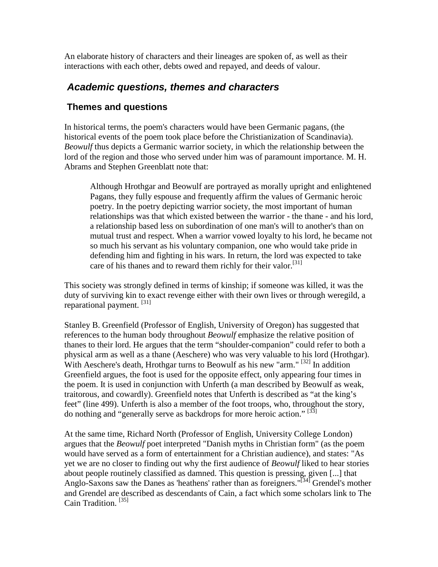An elaborate history of characters and their lineages are spoken of, as well as their interactions with each other, debts owed and repayed, and deeds of valour.

### **Academic questions, themes and characters**

### **Themes and questions**

In historical terms, the poem's characters would have been Germanic pagans, (the historical events of the poem took place before the Christianization of Scandinavia). *Beowulf* thus depicts a Germanic warrior society, in which the relationship between the lord of the region and those who served under him was of paramount importance. M. H. Abrams and Stephen Greenblatt note that:

Although Hrothgar and Beowulf are portrayed as morally upright and enlightened Pagans, they fully espouse and frequently affirm the values of Germanic heroic poetry. In the poetry depicting warrior society, the most important of human relationships was that which existed between the warrior - the thane - and his lord, a relationship based less on subordination of one man's will to another's than on mutual trust and respect. When a warrior vowed loyalty to his lord, he became not so much his servant as his voluntary companion, one who would take pride in defending him and fighting in his wars. In return, the lord was expected to take care of his thanes and to reward them richly for their valor.<sup>[31]</sup>

This society was strongly defined in terms of kinship; if someone was killed, it was the duty of surviving kin to exact revenge either with their own lives or through weregild, a reparational payment.<sup>[31]</sup>

Stanley B. Greenfield (Professor of English, University of Oregon) has suggested that references to the human body throughout *Beowulf* emphasize the relative position of thanes to their lord. He argues that the term "shoulder-companion" could refer to both a physical arm as well as a thane (Aeschere) who was very valuable to his lord (Hrothgar). With Aeschere's death, Hrothgar turns to Beowulf as his new "arm." <sup>[32]</sup> In addition Greenfield argues, the foot is used for the opposite effect, only appearing four times in the poem. It is used in conjunction with Unferth (a man described by Beowulf as weak, traitorous, and cowardly). Greenfield notes that Unferth is described as "at the king's feet" (line 499). Unferth is also a member of the foot troops, who, throughout the story, do nothing and "generally serve as backdrops for more heroic action." [33]

At the same time, Richard North (Professor of English, University College London) argues that the *Beowulf* poet interpreted "Danish myths in Christian form" (as the poem would have served as a form of entertainment for a Christian audience), and states: "As yet we are no closer to finding out why the first audience of *Beowulf* liked to hear stories about people routinely classified as damned. This question is pressing, given [...] that Anglo-Saxons saw the Danes as 'heathens' rather than as foreigners."<sup>[34]</sup> Grendel's mother and Grendel are described as descendants of Cain, a fact which some scholars link to The Cain Tradition. [35]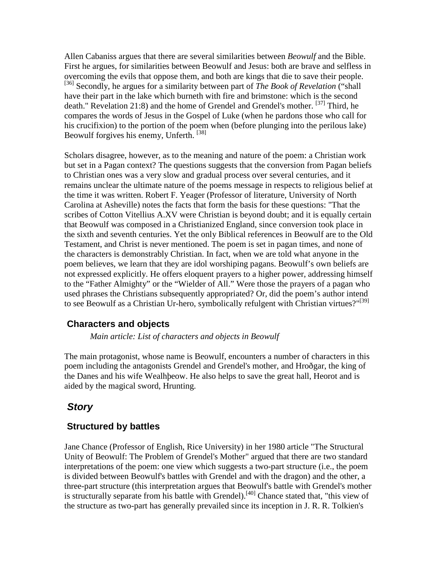Allen Cabaniss argues that there are several similarities between *Beowulf* and the Bible. First he argues, for similarities between Beowulf and Jesus: both are brave and selfless in overcoming the evils that oppose them, and both are kings that die to save their people. [36] Secondly, he argues for a similarity between part of *The Book of Revelation* ("shall have their part in the lake which burneth with fire and brimstone: which is the second death." Revelation 21:8) and the home of Grendel and Grendel's mother. <sup>[37]</sup> Third, he compares the words of Jesus in the Gospel of Luke (when he pardons those who call for his crucifixion) to the portion of the poem when (before plunging into the perilous lake) Beowulf forgives his enemy, Unferth. [38]

Scholars disagree, however, as to the meaning and nature of the poem: a Christian work but set in a Pagan context? The questions suggests that the conversion from Pagan beliefs to Christian ones was a very slow and gradual process over several centuries, and it remains unclear the ultimate nature of the poems message in respects to religious belief at the time it was written. Robert F. Yeager (Professor of literature, University of North Carolina at Asheville) notes the facts that form the basis for these questions: "That the scribes of Cotton Vitellius A.XV were Christian is beyond doubt; and it is equally certain that Beowulf was composed in a Christianized England, since conversion took place in the sixth and seventh centuries. Yet the only Biblical references in Beowulf are to the Old Testament, and Christ is never mentioned. The poem is set in pagan times, and none of the characters is demonstrably Christian. In fact, when we are told what anyone in the poem believes, we learn that they are idol worshiping pagans. Beowulf's own beliefs are not expressed explicitly. He offers eloquent prayers to a higher power, addressing himself to the "Father Almighty" or the "Wielder of All." Were those the prayers of a pagan who used phrases the Christians subsequently appropriated? Or, did the poem's author intend to see Beowulf as a Christian Ur-hero, symbolically refulgent with Christian virtues?"<sup>[39]</sup>

#### **Characters and objects**

#### *Main article: List of characters and objects in Beowulf*

The main protagonist, whose name is Beowulf, encounters a number of characters in this poem including the antagonists Grendel and Grendel's mother, and Hroðgar, the king of the Danes and his wife Wealhþeow. He also helps to save the great hall, Heorot and is aided by the magical sword, Hrunting.

#### **Story**

#### **Structured by battles**

Jane Chance (Professor of English, Rice University) in her 1980 article "The Structural Unity of Beowulf: The Problem of Grendel's Mother" argued that there are two standard interpretations of the poem: one view which suggests a two-part structure (i.e., the poem is divided between Beowulf's battles with Grendel and with the dragon) and the other, a three-part structure (this interpretation argues that Beowulf's battle with Grendel's mother is structurally separate from his battle with Grendel).<sup>[40]</sup> Chance stated that, "this view of the structure as two-part has generally prevailed since its inception in J. R. R. Tolkien's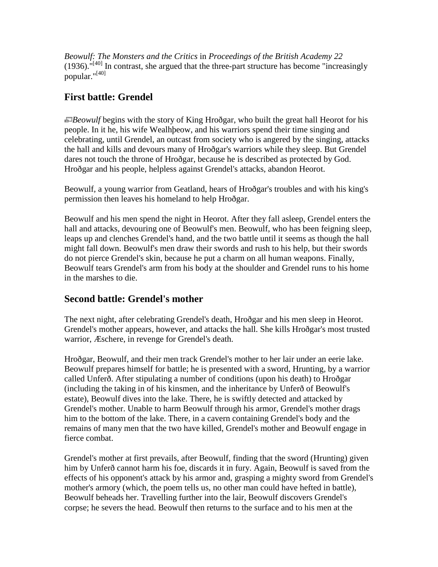*Beowulf: The Monsters and the Critics* in *Proceedings of the British Academy 22*  $(1936)$ .  $^{\text{H40}}$  In contrast, she argued that the three-part structure has become "increasingly popular."[40]

### **First battle: Grendel**

*Beowulf* begins with the story of King Hroðgar, who built the great hall Heorot for his people. In it he, his wife Wealhþeow, and his warriors spend their time singing and celebrating, until Grendel, an outcast from society who is angered by the singing, attacks the hall and kills and devours many of Hroðgar's warriors while they sleep. But Grendel dares not touch the throne of Hroðgar, because he is described as protected by God. Hroðgar and his people, helpless against Grendel's attacks, abandon Heorot.

Beowulf, a young warrior from Geatland, hears of Hroðgar's troubles and with his king's permission then leaves his homeland to help Hroðgar.

Beowulf and his men spend the night in Heorot. After they fall asleep, Grendel enters the hall and attacks, devouring one of Beowulf's men. Beowulf, who has been feigning sleep, leaps up and clenches Grendel's hand, and the two battle until it seems as though the hall might fall down. Beowulf's men draw their swords and rush to his help, but their swords do not pierce Grendel's skin, because he put a charm on all human weapons. Finally, Beowulf tears Grendel's arm from his body at the shoulder and Grendel runs to his home in the marshes to die.

### **Second battle: Grendel's mother**

The next night, after celebrating Grendel's death, Hroðgar and his men sleep in Heorot. Grendel's mother appears, however, and attacks the hall. She kills Hroðgar's most trusted warrior, Æschere, in revenge for Grendel's death.

Hroðgar, Beowulf, and their men track Grendel's mother to her lair under an eerie lake. Beowulf prepares himself for battle; he is presented with a sword, Hrunting, by a warrior called Unferð. After stipulating a number of conditions (upon his death) to Hroðgar (including the taking in of his kinsmen, and the inheritance by Unferð of Beowulf's estate), Beowulf dives into the lake. There, he is swiftly detected and attacked by Grendel's mother. Unable to harm Beowulf through his armor, Grendel's mother drags him to the bottom of the lake. There, in a cavern containing Grendel's body and the remains of many men that the two have killed, Grendel's mother and Beowulf engage in fierce combat.

Grendel's mother at first prevails, after Beowulf, finding that the sword (Hrunting) given him by Unferð cannot harm his foe, discards it in fury. Again, Beowulf is saved from the effects of his opponent's attack by his armor and, grasping a mighty sword from Grendel's mother's armory (which, the poem tells us, no other man could have hefted in battle), Beowulf beheads her. Travelling further into the lair, Beowulf discovers Grendel's corpse; he severs the head. Beowulf then returns to the surface and to his men at the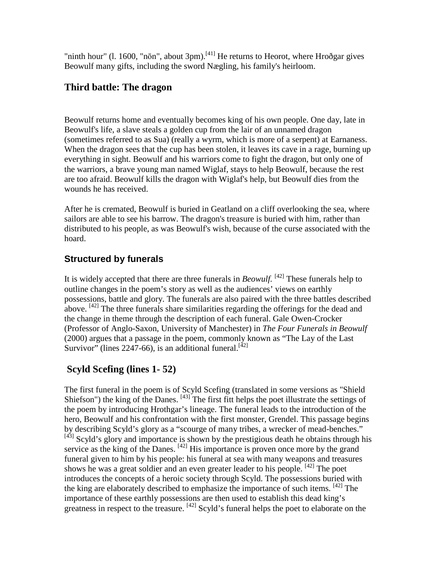"ninth hour" (l. 1600, "nōn", about 3pm).<sup>[41]</sup> He returns to Heorot, where Hroðgar gives Beowulf many gifts, including the sword Nægling, his family's heirloom.

### **Third battle: The dragon**

Beowulf returns home and eventually becomes king of his own people. One day, late in Beowulf's life, a slave steals a golden cup from the lair of an unnamed dragon (sometimes referred to as Sua) (really a wyrm, which is more of a serpent) at Earnaness. When the dragon sees that the cup has been stolen, it leaves its cave in a rage, burning up everything in sight. Beowulf and his warriors come to fight the dragon, but only one of the warriors, a brave young man named Wiglaf, stays to help Beowulf, because the rest are too afraid. Beowulf kills the dragon with Wiglaf's help, but Beowulf dies from the wounds he has received.

After he is cremated, Beowulf is buried in Geatland on a cliff overlooking the sea, where sailors are able to see his barrow. The dragon's treasure is buried with him, rather than distributed to his people, as was Beowulf's wish, because of the curse associated with the hoard.

### **Structured by funerals**

It is widely accepted that there are three funerals in *Beowulf.* [42] These funerals help to outline changes in the poem's story as well as the audiences' views on earthly possessions, battle and glory. The funerals are also paired with the three battles described above.  $[42]$  The three funerals share similarities regarding the offerings for the dead and the change in theme through the description of each funeral. Gale Owen-Crocker (Professor of Anglo-Saxon, University of Manchester) in *The Four Funerals in Beowulf* (2000) argues that a passage in the poem, commonly known as "The Lay of the Last Survivor" (lines 2247-66), is an additional funeral.<sup>[42]</sup>

## **Scyld Scefing (lines 1- 52)**

The first funeral in the poem is of Scyld Scefing (translated in some versions as "Shield Shiefson") the king of the Danes.  $\left[43\right]$  The first fitt helps the poet illustrate the settings of the poem by introducing Hrothgar's lineage. The funeral leads to the introduction of the hero, Beowulf and his confrontation with the first monster, Grendel. This passage begins by describing Scyld's glory as a "scourge of many tribes, a wrecker of mead-benches." [43] Scyld's glory and importance is shown by the prestigious death he obtains through his service as the king of the Danes. <sup>[42]</sup> His importance is proven once more by the grand funeral given to him by his people: his funeral at sea with many weapons and treasures shows he was a great soldier and an even greater leader to his people. [42] The poet introduces the concepts of a heroic society through Scyld. The possessions buried with the king are elaborately described to emphasize the importance of such items.  $[42]$  The importance of these earthly possessions are then used to establish this dead king's greatness in respect to the treasure. <sup>[42]</sup> Scyld's funeral helps the poet to elaborate on the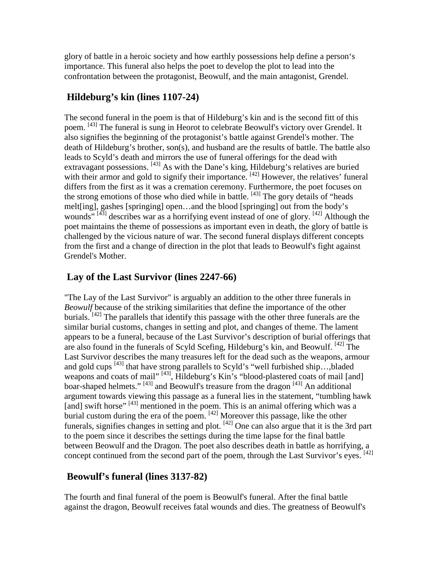glory of battle in a heroic society and how earthly possessions help define a person's importance. This funeral also helps the poet to develop the plot to lead into the confrontation between the protagonist, Beowulf, and the main antagonist, Grendel.

### **Hildeburg's kin (lines 1107-24)**

The second funeral in the poem is that of Hildeburg's kin and is the second fitt of this poem. [43] The funeral is sung in Heorot to celebrate Beowulf's victory over Grendel. It also signifies the beginning of the protagonist's battle against Grendel's mother. The death of Hildeburg's brother, son(s), and husband are the results of battle. The battle also leads to Scyld's death and mirrors the use of funeral offerings for the dead with extravagant possessions. <sup>[43]</sup> As with the Dane's king, Hildeburg's relatives are buried with their armor and gold to signify their importance. [42] However, the relatives' funeral differs from the first as it was a cremation ceremony. Furthermore, the poet focuses on the strong emotions of those who died while in battle. [43] The gory details of "heads melt[ing], gashes [springing] open…and the blood [springing] out from the body's wounds"  $[43]$  describes war as a horrifying event instead of one of glory.  $[42]$  Although the poet maintains the theme of possessions as important even in death, the glory of battle is challenged by the vicious nature of war. The second funeral displays different concepts from the first and a change of direction in the plot that leads to Beowulf's fight against Grendel's Mother.

### **Lay of the Last Survivor (lines 2247-66)**

"The Lay of the Last Survivor" is arguably an addition to the other three funerals in *Beowulf* because of the striking similarities that define the importance of the other burials.  $[42]$  The parallels that identify this passage with the other three funerals are the similar burial customs, changes in setting and plot, and changes of theme. The lament appears to be a funeral, because of the Last Survivor's description of burial offerings that are also found in the funerals of Scyld Scefing, Hildeburg's kin, and Beowulf. <sup>[42]</sup> The Last Survivor describes the many treasures left for the dead such as the weapons, armour and gold cups [43] that have strong parallels to Scyld's "well furbished ship..., bladed weapons and coats of mail" <sup>[43]</sup>, Hildeburg's Kin's "blood-plastered coats of mail [and] boar-shaped helmets."<sup>[43]</sup> and Beowulf's treasure from the dragon<sup>[43]</sup> An additional argument towards viewing this passage as a funeral lies in the statement, "tumbling hawk [and] swift horse" [43] mentioned in the poem. This is an animal offering which was a burial custom during the era of the poem. <sup>[42]</sup> Moreover this passage, like the other funerals, signifies changes in setting and plot. <sup>[42]</sup> One can also argue that it is the 3rd part to the poem since it describes the settings during the time lapse for the final battle between Beowulf and the Dragon. The poet also describes death in battle as horrifying, a concept continued from the second part of the poem, through the Last Survivor's eyes.  $^{[42]}$ 

### **Beowulf's funeral (lines 3137-82)**

The fourth and final funeral of the poem is Beowulf's funeral. After the final battle against the dragon, Beowulf receives fatal wounds and dies. The greatness of Beowulf's